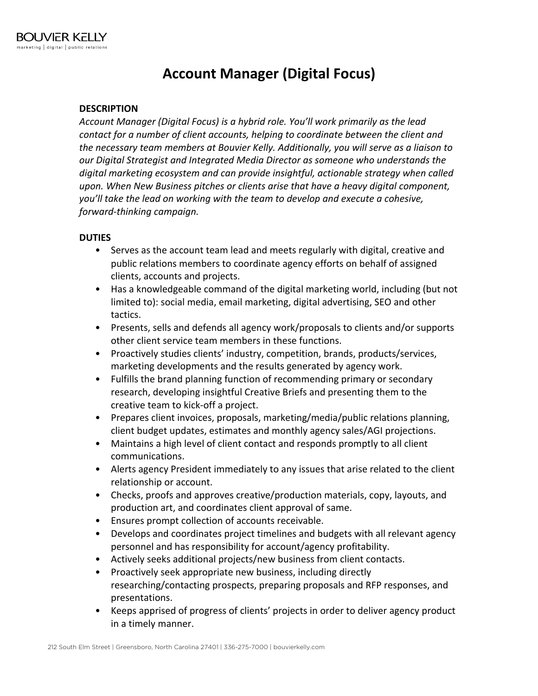## **Account Manager (Digital Focus)**

## **DESCRIPTION**

*Account Manager (Digital Focus) is a hybrid role. You'll work primarily as the lead contact for a number of client accounts, helping to coordinate between the client and the necessary team members at Bouvier Kelly. Additionally, you will serve as a liaison to our Digital Strategist and Integrated Media Director as someone who understands the digital marketing ecosystem and can provide insightful, actionable strategy when called upon. When New Business pitches or clients arise that have a heavy digital component, you'll take the lead on working with the team to develop and execute a cohesive, forward-thinking campaign.*

## **DUTIES**

- Serves as the account team lead and meets regularly with digital, creative and public relations members to coordinate agency efforts on behalf of assigned clients, accounts and projects.
- Has a knowledgeable command of the digital marketing world, including (but not limited to): social media, email marketing, digital advertising, SEO and other tactics.
- Presents, sells and defends all agency work/proposals to clients and/or supports other client service team members in these functions.
- Proactively studies clients' industry, competition, brands, products/services, marketing developments and the results generated by agency work.
- Fulfills the brand planning function of recommending primary or secondary research, developing insightful Creative Briefs and presenting them to the creative team to kick-off a project.
- Prepares client invoices, proposals, marketing/media/public relations planning, client budget updates, estimates and monthly agency sales/AGI projections.
- Maintains a high level of client contact and responds promptly to all client communications.
- Alerts agency President immediately to any issues that arise related to the client relationship or account.
- Checks, proofs and approves creative/production materials, copy, layouts, and production art, and coordinates client approval of same.
- Ensures prompt collection of accounts receivable.
- Develops and coordinates project timelines and budgets with all relevant agency personnel and has responsibility for account/agency profitability.
- Actively seeks additional projects/new business from client contacts.
- Proactively seek appropriate new business, including directly researching/contacting prospects, preparing proposals and RFP responses, and presentations.
- Keeps apprised of progress of clients' projects in order to deliver agency product in a timely manner.